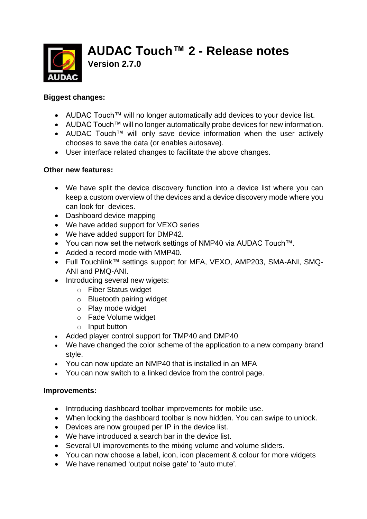

**AUDAC Touch™ 2 - Release notes**

**Version 2.7.0**

# **Biggest changes:**

- AUDAC Touch™ will no longer automatically add devices to your device list.
- AUDAC Touch™ will no longer automatically probe devices for new information.
- AUDAC Touch™ will only save device information when the user actively chooses to save the data (or enables autosave).
- User interface related changes to facilitate the above changes.

# **Other new features:**

- We have split the device discovery function into a device list where you can keep a custom overview of the devices and a device discovery mode where you can look for devices.
- Dashboard device mapping
- We have added support for VEXO series
- We have added support for DMP42.
- You can now set the network settings of NMP40 via AUDAC Touch™.
- Added a record mode with MMP40.
- Full Touchlink™ settings support for MFA, VEXO, AMP203, SMA-ANI, SMQ-ANI and PMQ-ANI.
- Introducing several new wigets:
	- o Fiber Status widget
	- o Bluetooth pairing widget
	- o Play mode widget
	- o Fade Volume widget
	- o Input button
- Added player control support for TMP40 and DMP40
- We have changed the color scheme of the application to a new company brand style.
- You can now update an NMP40 that is installed in an MFA
- You can now switch to a linked device from the control page.

## **Improvements:**

- Introducing dashboard toolbar improvements for mobile use.
- When locking the dashboard toolbar is now hidden. You can swipe to unlock.
- Devices are now grouped per IP in the device list.
- We have introduced a search bar in the device list.
- Several UI improvements to the mixing volume and volume sliders.
- You can now choose a label, icon, icon placement & colour for more widgets
- We have renamed 'output noise gate' to 'auto mute'.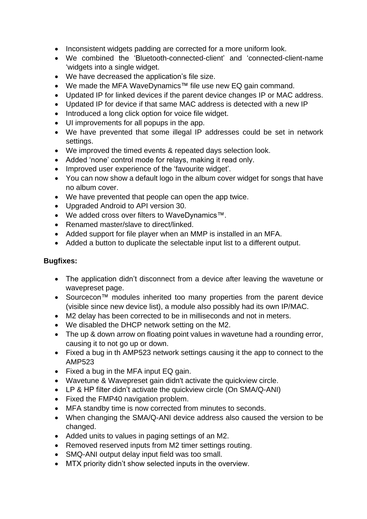- Inconsistent widgets padding are corrected for a more uniform look.
- We combined the 'Bluetooth-connected-client' and 'connected-client-name 'widgets into a single widget.
- We have decreased the application's file size.
- We made the MFA WaveDynamics™ file use new EQ gain command.
- Updated IP for linked devices if the parent device changes IP or MAC address.
- Updated IP for device if that same MAC address is detected with a new IP
- Introduced a long click option for voice file widget.
- UI improvements for all popups in the app.
- We have prevented that some illegal IP addresses could be set in network settings.
- We improved the timed events & repeated days selection look.
- Added 'none' control mode for relays, making it read only.
- Improved user experience of the 'favourite widget'.
- You can now show a default logo in the album cover widget for songs that have no album cover.
- We have prevented that people can open the app twice.
- Upgraded Android to API version 30.
- We added cross over filters to WaveDynamics™.
- Renamed master/slave to direct/linked.
- Added support for file player when an MMP is installed in an MFA.
- Added a button to duplicate the selectable input list to a different output.

## **Bugfixes:**

- The application didn't disconnect from a device after leaving the wavetune or wavepreset page.
- Sourcecon™ modules inherited too many properties from the parent device (visible since new device list), a module also possibly had its own IP/MAC.
- M2 delay has been corrected to be in milliseconds and not in meters.
- We disabled the DHCP network setting on the M2.
- The up & down arrow on floating point values in wavetune had a rounding error, causing it to not go up or down.
- Fixed a bug in th AMP523 network settings causing it the app to connect to the AMP523
- Fixed a bug in the MFA input EQ gain.
- Wavetune & Wavepreset gain didn't activate the quickview circle.
- LP & HP filter didn't activate the quickview circle (On SMA/Q-ANI)
- Fixed the FMP40 navigation problem.
- MFA standby time is now corrected from minutes to seconds.
- When changing the SMA/Q-ANI device address also caused the version to be changed.
- Added units to values in paging settings of an M2.
- Removed reserved inputs from M2 timer settings routing.
- SMQ-ANI output delay input field was too small.
- MTX priority didn't show selected inputs in the overview.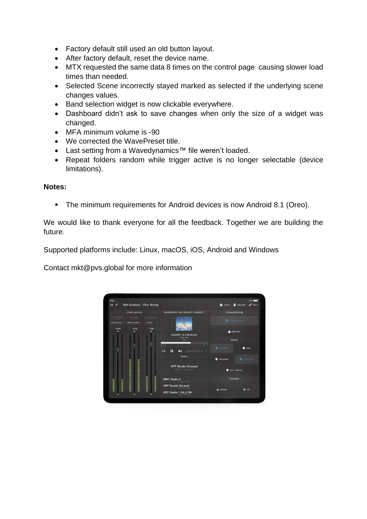- Factory default still used an old button layout.
- After factory default, reset the device name.
- MTX requested the same data 8 times on the control page causing slower load times than needed.
- Selected Scene incorrectly stayed marked as selected if the underlying scene changes values.
- Band selection widget is now clickable everywhere.
- Dashboard didn't ask to save changes when only the size of a widget was changed.
- MFA minimum volume is -90
- We corrected the WavePreset title.
- Last setting from a Wavedynamics™ file weren't loaded.
- Repeat folders random while trigger active is no longer selectable (device limitations).

### **Notes:**

**•** The minimum requirements for Android devices is now Android 8.1 (Oreo).

We would like to thank everyone for all the feedback. Together we are building the future.

Supported platforms include: Linux, macOS, iOS, Android and Windows

Contact mkt@pvs.global for more information